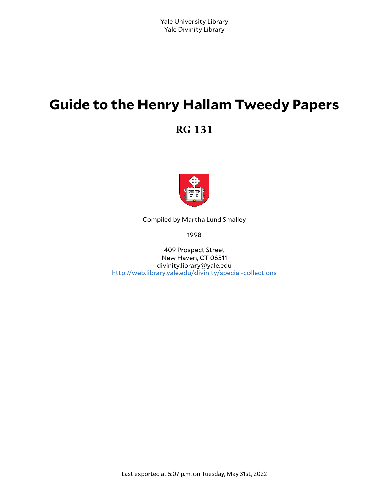# **Guide to the Henry Hallam Tweedy Papers**

**RG 131**



Compiled by Martha Lund Smalley

1998

409 Prospect Street New Haven, CT 06511 divinity.library@yale.edu <http://web.library.yale.edu/divinity/special-collections>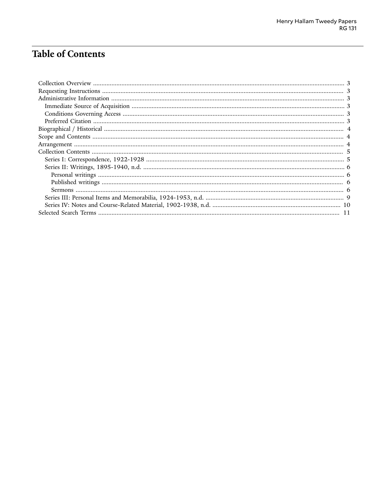# **Table of Contents**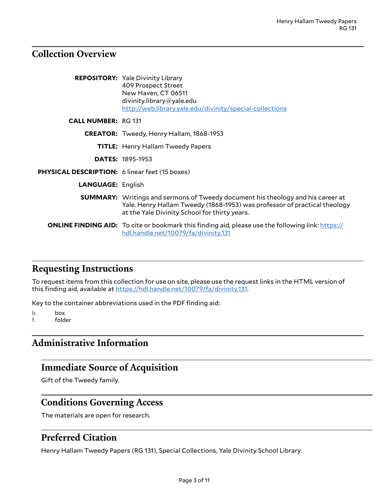### <span id="page-2-0"></span>**Collection Overview**

|                                                | <b>REPOSITORY:</b> Yale Divinity Library<br>409 Prospect Street<br>New Haven, CT 06511<br>divinity.library@yale.edu<br>http://web.library.yale.edu/divinity/special-collections                                      |
|------------------------------------------------|----------------------------------------------------------------------------------------------------------------------------------------------------------------------------------------------------------------------|
| <b>CALL NUMBER: RG 131</b>                     |                                                                                                                                                                                                                      |
|                                                | <b>CREATOR:</b> Tweedy, Henry Hallam, 1868-1953                                                                                                                                                                      |
|                                                | <b>TITLE:</b> Henry Hallam Tweedy Papers                                                                                                                                                                             |
|                                                | <b>DATES: 1895-1953</b>                                                                                                                                                                                              |
| PHYSICAL DESCRIPTION: 6 linear feet (15 boxes) |                                                                                                                                                                                                                      |
| <b>LANGUAGE: English</b>                       |                                                                                                                                                                                                                      |
|                                                | <b>SUMMARY:</b> Writings and sermons of Tweedy document his theology and his career at<br>Yale. Henry Hallam Tweedy (1868-1953) was professor of practical theology<br>at the Yale Divinity School for thirty years. |
|                                                | <b>ONLINE FINDING AID:</b> To cite or bookmark this finding aid, please use the following link: https://<br>hdl.handle.net/10079/fa/divinity.131                                                                     |

# <span id="page-2-1"></span>**Requesting Instructions**

To request items from this collection for use on site, please use the request links in the HTML version of this finding aid, available at <https://hdl.handle.net/10079/fa/divinity.131>.

Key to the container abbreviations used in the PDF finding aid:

b. box

f. folder

# <span id="page-2-2"></span>**Administrative Information**

#### <span id="page-2-3"></span>**Immediate Source of Acquisition**

Gift of the Tweedy family.

#### <span id="page-2-4"></span>**Conditions Governing Access**

The materials are open for research.

#### <span id="page-2-5"></span>**Preferred Citation**

Henry Hallam Tweedy Papers (RG 131), Special Collections, Yale Divinity School Library.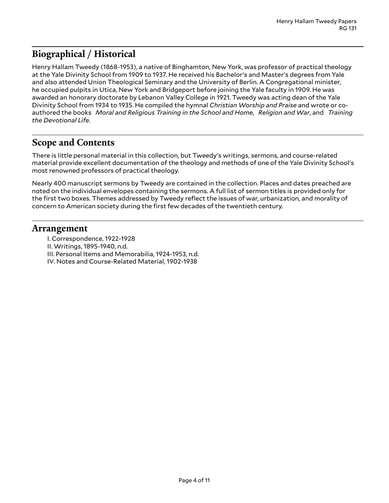# <span id="page-3-0"></span>**Biographical / Historical**

Henry Hallam Tweedy (1868-1953), a native of Binghamton, New York, was professor of practical theology at the Yale Divinity School from 1909 to 1937. He received his Bachelor's and Master's degrees from Yale and also attended Union Theological Seminary and the University of Berlin. A Congregational minister, he occupied pulpits in Utica, New York and Bridgeport before joining the Yale faculty in 1909. He was awarded an honorary doctorate by Lebanon Valley College in 1921. Tweedy was acting dean of the Yale Divinity School from 1934 to 1935. He compiled the hymnal *Christian Worship and Praise* and wrote or coauthored the books *Moral and Religious Training in the School and Home*, *Religion and War*, and *Training the Devotional Life*.

### <span id="page-3-1"></span>**Scope and Contents**

There is little personal material in this collection, but Tweedy's writings, sermons, and course-related material provide excellent documentation of the theology and methods of one of the Yale Divinity School's most renowned professors of practical theology.

Nearly 400 manuscript sermons by Tweedy are contained in the collection. Places and dates preached are noted on the individual envelopes containing the sermons. A full list of sermon titles is provided only for the first two boxes. Themes addressed by Tweedy reflect the issues of war, urbanization, and morality of concern to American society during the first few decades of the twentieth century.

#### <span id="page-3-2"></span>**Arrangement**

- I. Correspondence, 1922-1928
- II. Writings, 1895-1940, n.d.
- III. Personal Items and Memorabilia, 1924-1953, n.d.
- IV. Notes and Course-Related Material, 1902-1938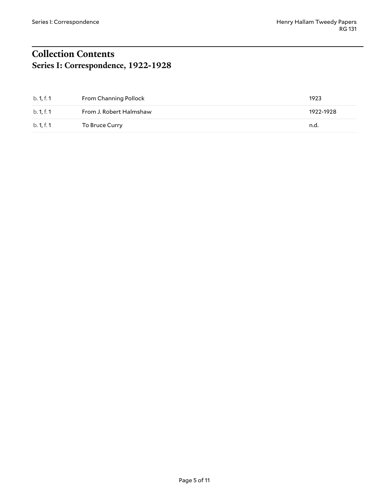# <span id="page-4-1"></span><span id="page-4-0"></span>**Collection Contents Series I: Correspondence, 1922-1928**

| b. 1, f. 1 | From Channing Pollock   | 1923      |
|------------|-------------------------|-----------|
| b. 1, f. 1 | From J. Robert Halmshaw | 1922-1928 |
| b. 1, f. 1 | To Bruce Curry          | n.d.      |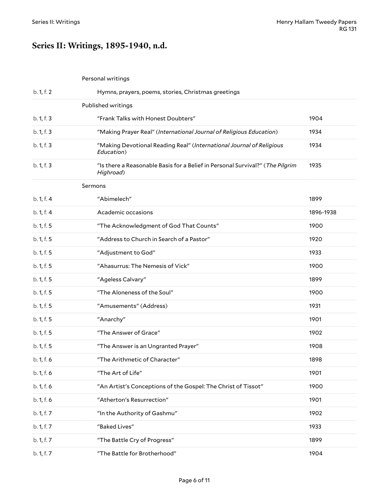# <span id="page-5-0"></span>**Series II: Writings, 1895-1940, n.d.**

<span id="page-5-2"></span><span id="page-5-1"></span>

| Personal writings |  |
|-------------------|--|
|-------------------|--|

<span id="page-5-3"></span>

| b. 1, f. 2 | Hymns, prayers, poems, stories, Christmas greetings                                        |           |
|------------|--------------------------------------------------------------------------------------------|-----------|
|            | Published writings                                                                         |           |
| b. 1, f. 3 | "Frank Talks with Honest Doubters"                                                         | 1904      |
| b. 1, f. 3 | "Making Prayer Real" (International Journal of Religious Education)                        | 1934      |
| b. 1, f. 3 | "Making Devotional Reading Real" (International Journal of Religious<br>Education)         | 1934      |
| b. 1, f. 3 | "Is there a Reasonable Basis for a Belief in Personal Survival?" (The Pilgrim<br>Highroad) | 1935      |
|            | Sermons                                                                                    |           |
| b. 1, f. 4 | "Abimelech"                                                                                | 1899      |
| b. 1, f. 4 | Academic occasions                                                                         | 1896-1938 |
| b. 1, f. 5 | "The Acknowledgment of God That Counts"                                                    | 1900      |
| b. 1, f. 5 | "Address to Church in Search of a Pastor"                                                  | 1920      |
| b. 1, f. 5 | "Adjustment to God"                                                                        | 1933      |
| b. 1, f. 5 | "Ahasurrus: The Nemesis of Vick"                                                           | 1900      |
| b. 1, f. 5 | "Ageless Calvary"                                                                          | 1899      |
| b. 1, f. 5 | "The Aloneness of the Soul"                                                                | 1900      |
| b. 1, f. 5 | "Amusements" (Address)                                                                     | 1931      |
| b. 1, f. 5 | "Anarchy"                                                                                  | 1901      |
| b. 1, f. 5 | "The Answer of Grace"                                                                      | 1902      |
| b. 1, f. 5 | "The Answer is an Ungranted Prayer"                                                        | 1908      |
| b. 1, f. 6 | "The Arithmetic of Character"                                                              | 1898      |
| b. 1, f. 6 | "The Art of Life"                                                                          | 1901      |
| b. 1, f. 6 | "An Artist's Conceptions of the Gospel: The Christ of Tissot"                              | 1900      |
| b. 1, f. 6 | "Atherton's Resurrection"                                                                  | 1901      |
| b. 1, f. 7 | "In the Authority of Gashmu"                                                               | 1902      |
| b. 1, f. 7 | "Baked Lives"                                                                              | 1933      |
| b. 1, f. 7 | "The Battle Cry of Progress"                                                               | 1899      |
| b. 1, f. 7 | "The Battle for Brotherhood"                                                               | 1904      |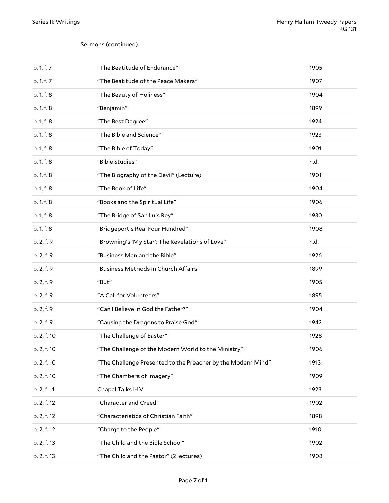#### Sermons (continued)

| b. 1, f. 7  | "The Beatitude of Endurance"                                 | 1905 |
|-------------|--------------------------------------------------------------|------|
| b. 1, f. 7  | "The Beatitude of the Peace Makers"                          | 1907 |
| b. 1, f. 8  | "The Beauty of Holiness"                                     | 1904 |
| b. 1, f. 8  | "Benjamin"                                                   | 1899 |
| b. 1, f. 8  | "The Best Degree"                                            | 1924 |
| b. 1, f. 8  | "The Bible and Science"                                      | 1923 |
| b. 1, f. 8  | "The Bible of Today"                                         | 1901 |
| b. 1, f. 8  | "Bible Studies"                                              | n.d. |
| b. 1, f. 8  | "The Biography of the Devil" (Lecture)                       | 1901 |
| b. 1, f. 8  | "The Book of Life"                                           | 1904 |
| b. 1, f. 8  | "Books and the Spiritual Life"                               | 1906 |
| b. 1, f. 8  | "The Bridge of San Luis Rey"                                 | 1930 |
| b. 1, f. 8  | "Bridgeport's Real Four Hundred"                             | 1908 |
| b. 2, f. 9  | "Browning's 'My Star': The Revelations of Love"              | n.d. |
| b. 2, f. 9  | "Business Men and the Bible"                                 | 1926 |
| b. 2, f. 9  | "Business Methods in Church Affairs"                         | 1899 |
| b. 2, f. 9  | "But"                                                        | 1905 |
| b. 2, f. 9  | "A Call for Volunteers"                                      | 1895 |
| b. 2, f. 9  | "Can I Believe in God the Father?"                           | 1904 |
| b. 2, f. 9  | "Causing the Dragons to Praise God"                          | 1942 |
| b. 2, f. 10 | "The Challenge of Easter"                                    | 1928 |
| b. 2, f. 10 | "The Challenge of the Modern World to the Ministry"          | 1906 |
| b. 2, f. 10 | "The Challenge Presented to the Preacher by the Modern Mind" | 1913 |
| b. 2, f. 10 | "The Chambers of Imagery"                                    | 1909 |
| b. 2, f. 11 | Chapel Talks I-IV                                            | 1923 |
| b. 2, f. 12 | "Character and Creed"                                        | 1902 |
| b. 2, f. 12 | "Characteristics of Christian Faith"                         | 1898 |
| b. 2, f. 12 | "Charge to the People"                                       | 1910 |
| b. 2, f. 13 | "The Child and the Bible School"                             | 1902 |
| b. 2, f. 13 | "The Child and the Pastor" (2 lectures)                      | 1908 |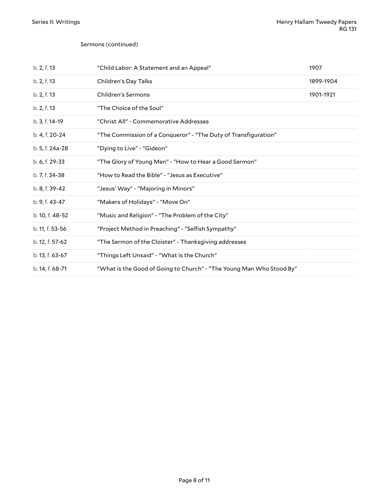#### Sermons (continued)

| b. 2, f. 13     | "Child Labor: A Statement and an Appeal"                             | 1907      |
|-----------------|----------------------------------------------------------------------|-----------|
| b. 2, f. 13     | Children's Day Talks                                                 | 1899-1904 |
| b. 2, f. 13     | Children's Sermons                                                   | 1901-1921 |
| b. 2, f. 13     | "The Choice of the Soul"                                             |           |
| b. 3, f. 14-19  | "Christ All" - Commemorative Addresses                               |           |
| b. 4, f. 20-24  | "The Commission of a Conqueror" - "The Duty of Transfiguration"      |           |
| b. 5, f. 24a-28 | "Dying to Live" - "Gideon"                                           |           |
| b. 6, f. 29-33  | "The Glory of Young Men" - "How to Hear a Good Sermon"               |           |
| b. 7, f. 34-38  | "How to Read the Bible" - "Jesus as Executive"                       |           |
| b. 8, f. 39-42  | "Jesus' Way" - "Majoring in Minors"                                  |           |
| b. 9, f. 43-47  | "Makers of Holidays" - "Move On"                                     |           |
| b. 10, f. 48-52 | "Music and Religion" - "The Problem of the City"                     |           |
| b. 11, f. 53-56 | "Project Method in Preaching" - "Selfish Sympathy"                   |           |
| b. 12, f. 57-62 | "The Sermon of the Cloister" - Thanksgiving addresses                |           |
| b. 13, f. 63-67 | "Things Left Unsaid" - "What is the Church"                          |           |
| b. 14, f. 68-71 | "What is the Good of Going to Church" - "The Young Man Who Stood By" |           |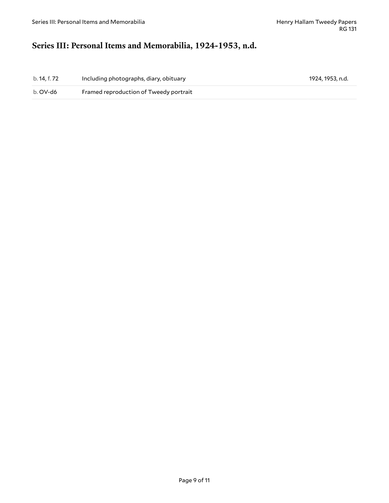# <span id="page-8-0"></span>**Series III: Personal Items and Memorabilia, 1924-1953, n.d.**

| b. 14, f. 72 | Including photographs, diary, obituary | 1924, 1953, n.d. |
|--------------|----------------------------------------|------------------|
| b. OV-d6     | Framed reproduction of Tweedy portrait |                  |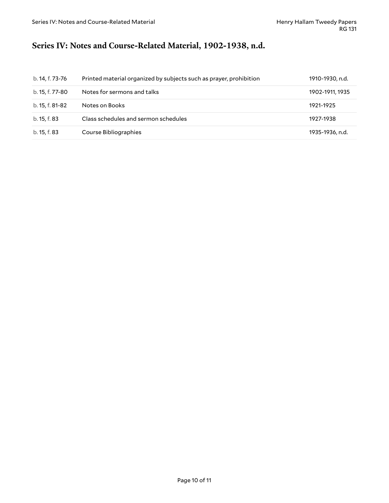# <span id="page-9-0"></span>**Series IV: Notes and Course-Related Material, 1902-1938, n.d.**

| b. 14, f. 73-76 | Printed material organized by subjects such as prayer, prohibition | 1910-1930, n.d. |
|-----------------|--------------------------------------------------------------------|-----------------|
| b. 15, f. 77-80 | Notes for sermons and talks                                        | 1902-1911, 1935 |
| b. 15, f. 81-82 | Notes on Books                                                     | 1921-1925       |
| b. 15, f. 83    | Class schedules and sermon schedules                               | 1927-1938       |
| b. 15, f. 83    | Course Bibliographies                                              | 1935-1936, n.d. |